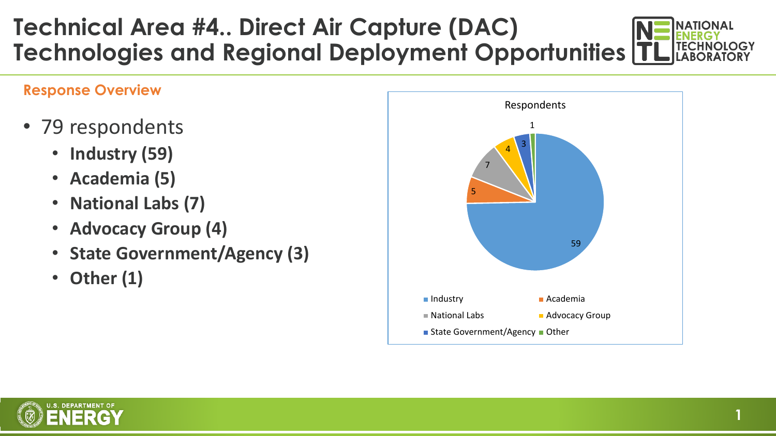### **Technical Area #4.. Direct Air Capture (DAC) Technologies and Regional Deployment Opportunities**

#### **Response Overview**

- 79 respondents
	- **Industry (59)**
	- **Academia (5)**
	- **National Labs (7)**
	- **Advocacy Group (4)**
	- **State Government/Agency (3)**
	- **Other (1)**



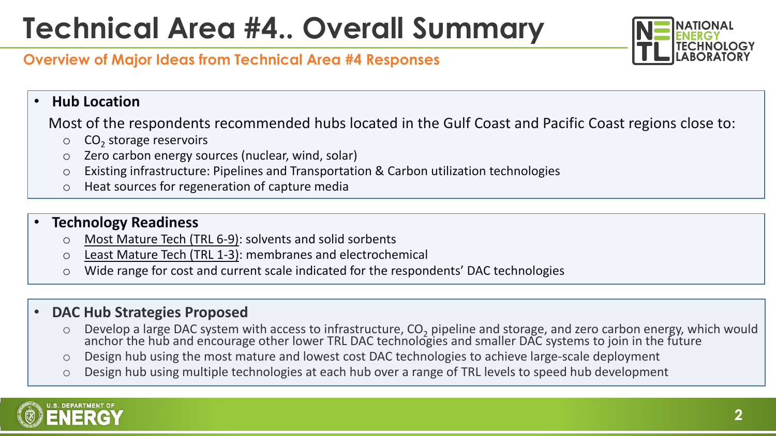# **Technical Area #4.. Overall Summary**



#### **Overview of Major Ideas from Technical Area #4 Responses**

#### • **Hub Location**

Most of the respondents recommended hubs located in the Gulf Coast and Pacific Coast regions close to:

- $\circ$  CO<sub>2</sub> storage reservoirs
- o Zero carbon energy sources (nuclear, wind, solar)
- o Existing infrastructure: Pipelines and Transportation & Carbon utilization technologies
- o Heat sources for regeneration of capture media

#### • **Technology Readiness**

- Most Mature Tech (TRL 6-9): solvents and solid sorbents
- o Least Mature Tech (TRL 1-3): membranes and electrochemical
- o Wide range for cost and current scale indicated for the respondents' DAC technologies

#### • **DAC Hub Strategies Proposed**

- Develop a large DAC system with access to infrastructure, CO<sub>2</sub> pipeline and storage, and zero carbon energy, which would<br>anchor the hub and encourage other lower TRL DAC technologies and smaller DAC systems to join in the
- o Design hub using the most mature and lowest cost DAC technologies to achieve large-scale deployment
- o Design hub using multiple technologies at each hub over a range of TRL levels to speed hub development

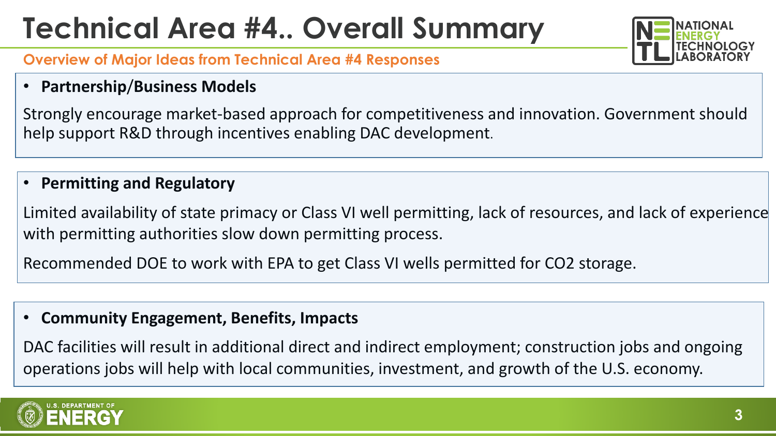# **Technical Area #4.. Overall Summary**



#### **Overview of Major Ideas from Technical Area #4 Responses**

• **Partnership**/**Business Models**

Strongly encourage market-based approach for competitiveness and innovation. Government should help support R&D through incentives enabling DAC development.

### • **Permitting and Regulatory**

Limited availability of state primacy or Class VI well permitting, lack of resources, and lack of experience with permitting authorities slow down permitting process.

Recommended DOE to work with EPA to get Class VI wells permitted for CO2 storage.

#### • **Community Engagement, Benefits, Impacts**

DAC facilities will result in additional direct and indirect employment; construction jobs and ongoing operations jobs will help with local communities, investment, and growth of the U.S. economy.

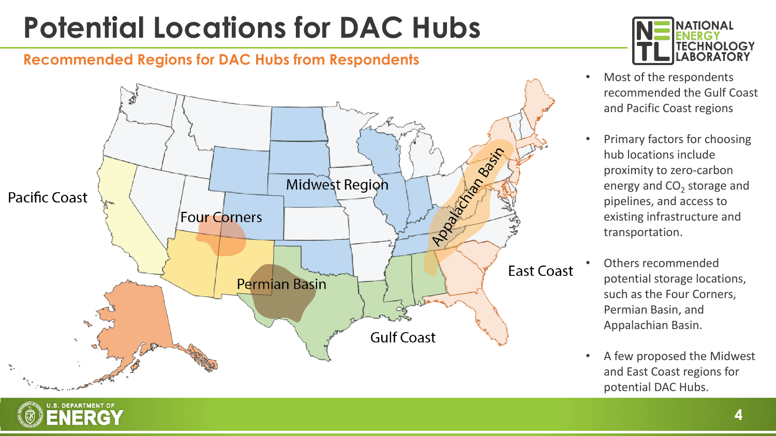# **Potential Locations for DAC Hubs**

#### **Recommended Regions for DAC Hubs from Respondents**

S. DEPARTMENT OF ENERGY





- Most of the respondents recommended the Gulf Coast and Pacific Coast regions
- Primary factors for choosing hub locations include proximity to zero-carbon energy and  $CO<sub>2</sub>$  storage and pipelines, and access to existing infrastructure and transportation.
- Others recommended potential storage locations, such as the Four Corners, Permian Basin, and Appalachian Basin.
- A few proposed the Midwest and East Coast regions for potential DAC Hubs.

**4**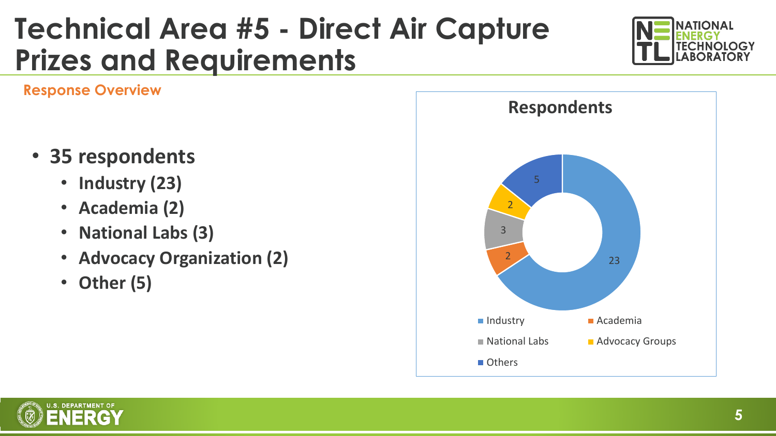### **Technical Area #5 - Direct Air Capture Prizes and Requirements**



**Response Overview**

- **35 respondents**
	- **Industry (23)**
	- **Academia (2)**
	- **National Labs (3)**
	- **Advocacy Organization (2)**
	- **Other (5)**